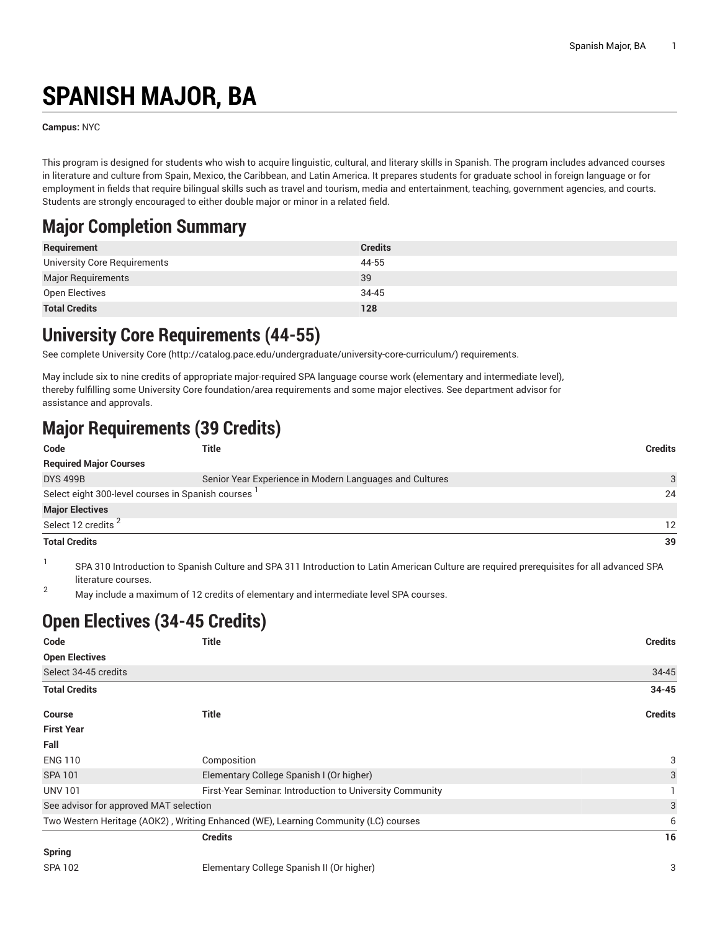# **SPANISH MAJOR, BA**

**Campus:** NYC

This program is designed for students who wish to acquire linguistic, cultural, and literary skills in Spanish. The program includes advanced courses in literature and culture from Spain, Mexico, the Caribbean, and Latin America. It prepares students for graduate school in foreign language or for employment in fields that require bilingual skills such as travel and tourism, media and entertainment, teaching, government agencies, and courts. Students are strongly encouraged to either double major or minor in a related field.

### **Major Completion Summary**

| Requirement                  | <b>Credits</b> |
|------------------------------|----------------|
| University Core Requirements | 44-55          |
| <b>Major Requirements</b>    | 39             |
| Open Electives               | 34-45          |
| <b>Total Credits</b>         | 128            |

### **University Core Requirements (44-55)**

See complete [University](http://catalog.pace.edu/undergraduate/university-core-curriculum/) Core (<http://catalog.pace.edu/undergraduate/university-core-curriculum/>) requirements.

May include six to nine credits of appropriate major-required SPA language course work (elementary and intermediate level), thereby fulfilling some University Core foundation/area requirements and some major electives. See department advisor for assistance and approvals.

## **Major Requirements (39 Credits)**

| Code                                              | Title                                                   | <b>Credits</b>  |
|---------------------------------------------------|---------------------------------------------------------|-----------------|
| <b>Required Major Courses</b>                     |                                                         |                 |
| <b>DYS 499B</b>                                   | Senior Year Experience in Modern Languages and Cultures | 3               |
| Select eight 300-level courses in Spanish courses |                                                         | 24              |
| <b>Major Electives</b>                            |                                                         |                 |
| Select 12 credits <sup>2</sup>                    |                                                         | $12 \ \mathrm{$ |
| <b>Total Credits</b>                              |                                                         | 39              |

1 SPA 310 Introduction to Spanish Culture and SPA 311 Introduction to Latin American Culture are required prerequisites for all advanced SPA literature courses.

<sup>2</sup> May include a maximum of 12 credits of elementary and intermediate level SPA courses.

## **Open Electives (34-45 Credits)**

| Code                                                                                | <b>Title</b>                                             | <b>Credits</b> |
|-------------------------------------------------------------------------------------|----------------------------------------------------------|----------------|
| <b>Open Electives</b>                                                               |                                                          |                |
| Select 34-45 credits                                                                |                                                          | 34-45          |
| <b>Total Credits</b>                                                                |                                                          | $34 - 45$      |
| <b>Course</b>                                                                       | <b>Title</b>                                             | <b>Credits</b> |
| <b>First Year</b>                                                                   |                                                          |                |
| Fall                                                                                |                                                          |                |
| <b>ENG 110</b>                                                                      | Composition                                              | 3              |
| <b>SPA 101</b>                                                                      | Elementary College Spanish I (Or higher)                 | 3              |
| <b>UNV 101</b>                                                                      | First-Year Seminar. Introduction to University Community |                |
| See advisor for approved MAT selection                                              |                                                          | 3              |
| Two Western Heritage (AOK2), Writing Enhanced (WE), Learning Community (LC) courses |                                                          | 6              |
|                                                                                     | <b>Credits</b>                                           | 16             |
| <b>Spring</b>                                                                       |                                                          |                |
| <b>SPA 102</b>                                                                      | Elementary College Spanish II (Or higher)                | 3              |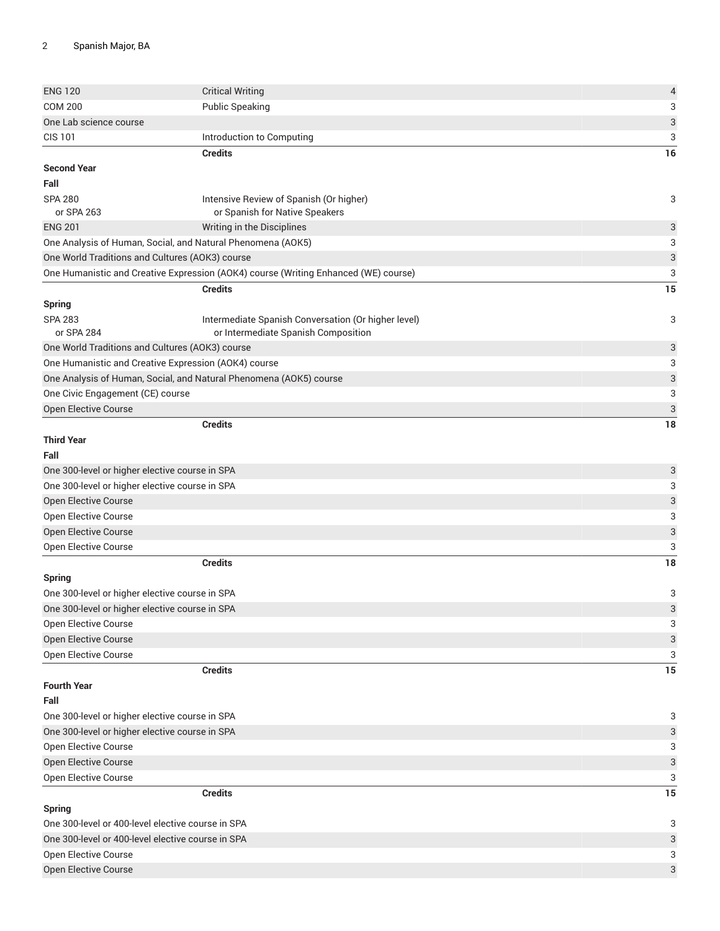| <b>ENG 120</b>                                              | <b>Critical Writing</b>                                                             | $\overline{\mathcal{L}}$  |
|-------------------------------------------------------------|-------------------------------------------------------------------------------------|---------------------------|
| <b>COM 200</b>                                              | <b>Public Speaking</b>                                                              | 3                         |
| One Lab science course                                      |                                                                                     | 3                         |
| <b>CIS 101</b>                                              | Introduction to Computing                                                           | 3                         |
|                                                             | <b>Credits</b>                                                                      | 16                        |
| <b>Second Year</b>                                          |                                                                                     |                           |
| Fall                                                        |                                                                                     |                           |
| <b>SPA 280</b>                                              | Intensive Review of Spanish (Or higher)                                             | 3                         |
| or SPA 263                                                  | or Spanish for Native Speakers                                                      |                           |
| <b>ENG 201</b>                                              | Writing in the Disciplines                                                          | 3                         |
| One Analysis of Human, Social, and Natural Phenomena (AOK5) |                                                                                     | 3                         |
| One World Traditions and Cultures (AOK3) course             |                                                                                     | 3                         |
|                                                             | One Humanistic and Creative Expression (AOK4) course (Writing Enhanced (WE) course) | 3                         |
|                                                             | <b>Credits</b>                                                                      | 15                        |
| <b>Spring</b>                                               |                                                                                     |                           |
| <b>SPA 283</b>                                              | Intermediate Spanish Conversation (Or higher level)                                 | 3                         |
| or SPA 284                                                  | or Intermediate Spanish Composition                                                 |                           |
| One World Traditions and Cultures (AOK3) course             |                                                                                     | 3                         |
| One Humanistic and Creative Expression (AOK4) course        |                                                                                     | 3                         |
|                                                             | One Analysis of Human, Social, and Natural Phenomena (AOK5) course                  | $\ensuremath{\mathsf{3}}$ |
| One Civic Engagement (CE) course                            |                                                                                     | 3                         |
| Open Elective Course                                        |                                                                                     | 3                         |
|                                                             | <b>Credits</b>                                                                      | 18                        |
| <b>Third Year</b>                                           |                                                                                     |                           |
| Fall                                                        |                                                                                     |                           |
| One 300-level or higher elective course in SPA              |                                                                                     | 3                         |
| One 300-level or higher elective course in SPA              |                                                                                     | 3                         |
| Open Elective Course                                        |                                                                                     | 3                         |
| Open Elective Course                                        |                                                                                     | 3                         |
| Open Elective Course                                        |                                                                                     | $\ensuremath{\mathsf{3}}$ |
| Open Elective Course                                        |                                                                                     | 3                         |
|                                                             | <b>Credits</b>                                                                      | 18                        |
| <b>Spring</b>                                               |                                                                                     |                           |
| One 300-level or higher elective course in SPA              |                                                                                     | 3                         |
| One 300-level or higher elective course in SPA              |                                                                                     | 3                         |
| Open Elective Course                                        |                                                                                     | 3                         |
| Open Elective Course                                        |                                                                                     | 3                         |
| Open Elective Course                                        |                                                                                     | 3                         |
|                                                             | <b>Credits</b>                                                                      | 15                        |
| <b>Fourth Year</b>                                          |                                                                                     |                           |
| Fall                                                        |                                                                                     |                           |
| One 300-level or higher elective course in SPA              |                                                                                     | 3                         |
| One 300-level or higher elective course in SPA              |                                                                                     | 3                         |
| Open Elective Course                                        |                                                                                     | 3                         |
| Open Elective Course                                        |                                                                                     | 3                         |
| Open Elective Course                                        |                                                                                     | 3                         |
|                                                             | <b>Credits</b>                                                                      | 15                        |
| <b>Spring</b>                                               |                                                                                     |                           |
| One 300-level or 400-level elective course in SPA           |                                                                                     | 3                         |
| One 300-level or 400-level elective course in SPA           |                                                                                     | 3                         |
| Open Elective Course                                        |                                                                                     | 3                         |
| Open Elective Course                                        |                                                                                     | 3                         |